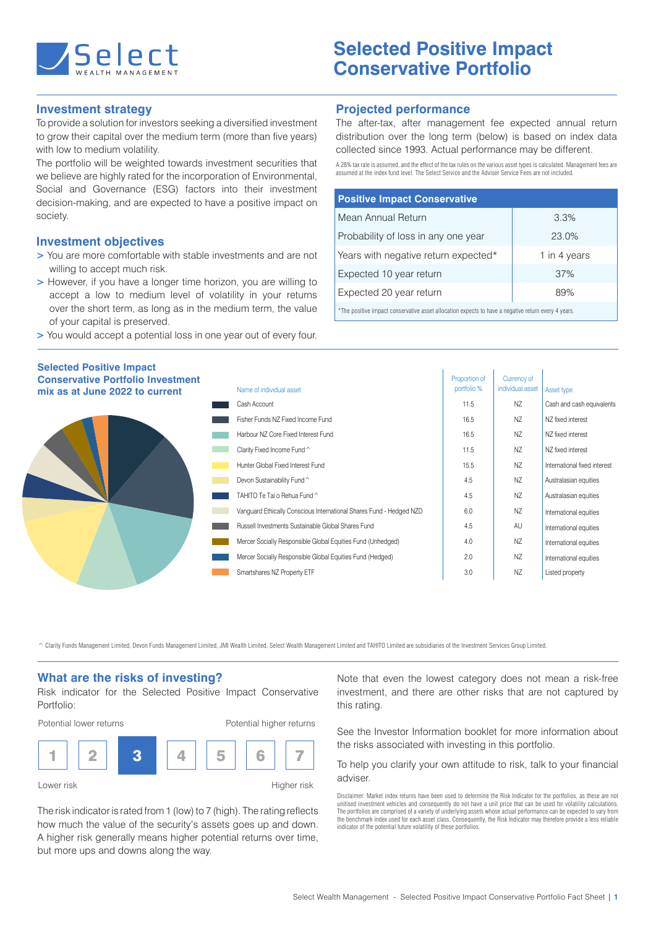

# **Selected Positive Impact Conservative Portfolio**

# **Investment strategy**

To provide a solution for investors seeking a diversified investment to grow their capital over the medium term (more than five years) with low to medium volatility.

The portfolio will be weighted towards investment securities that we believe are highly rated for the incorporation of Environmental, Social and Governance (ESG) factors into their investment decision-making, and are expected to have a positive impact on society.

## **Investment objectives**

- **>** You are more comfortable with stable investments and are not willing to accept much risk.
- **>** However, if you have a longer time horizon, you are willing to accept a low to medium level of volatility in your returns over the short term, as long as in the medium term, the value of your capital is preserved.
- **>** You would accept a potential loss in one year out of every four.

## **Projected performance**

The after-tax, after management fee expected annual return distribution over the long term (below) is based on index data collected since 1993. Actual performance may be different.

A 28% tax rate is assumed, and the effect of the tax rules on the various asset types is calculated. Management fees are assumed at the index fund level. The Select Service and the Adviser Service Fees are not included.

| <b>Positive Impact Conservative</b>                                                                 |              |  |  |  |
|-----------------------------------------------------------------------------------------------------|--------------|--|--|--|
| Mean Annual Return                                                                                  | 3.3%         |  |  |  |
| Probability of loss in any one year                                                                 | 23.0%        |  |  |  |
| Years with negative return expected*                                                                | 1 in 4 years |  |  |  |
| Expected 10 year return                                                                             | 37%          |  |  |  |
| Expected 20 year return                                                                             | 89%          |  |  |  |
| *The positive impost concernative caset ellegation overado to boys a posstive return overy 4 years. |              |  |  |  |

The positive impact conservative asset allocation expects to have a negative return every 4 years.

| <b>Selected Positive Impact</b><br><b>Conservative Portfolio Investment</b><br>mix as at June 2022 to current | Name of individual asset                                            | Proportion of<br>portfolio % | Currency of<br>individual asset | Asset type                   |
|---------------------------------------------------------------------------------------------------------------|---------------------------------------------------------------------|------------------------------|---------------------------------|------------------------------|
|                                                                                                               | Cash Account                                                        | 11.5                         | NZ                              | Cash and cash equivalents    |
|                                                                                                               | Fisher Funds NZ Fixed Income Fund                                   | 16.5                         | NZ                              | NZ fixed interest            |
|                                                                                                               | Harbour NZ Core Fixed Interest Fund                                 | 16.5                         | NZ                              | NZ fixed interest            |
|                                                                                                               | Clarity Fixed Income Fund ^                                         | 11.5                         | NZ                              | NZ fixed interest            |
|                                                                                                               | Hunter Global Fixed Interest Fund                                   | 15.5                         | NZ                              | International fixed interest |
|                                                                                                               | Devon Sustainability Fund ^                                         | 4.5                          | NZ                              | Australasian equities        |
|                                                                                                               | TAHITO Te Tai o Rehua Fund ^                                        | 4.5                          | NZ                              | Australasian equities        |
|                                                                                                               | Vanguard Ethically Conscious International Shares Fund - Hedged NZD | 6.0                          | NZ                              | International equities       |
|                                                                                                               | Russell Investments Sustainable Global Shares Fund                  | 4.5                          | AU                              | International equities       |
|                                                                                                               | Mercer Socially Responsible Global Equities Fund (Unhedged)         | 4.0                          | NZ                              | International equities       |
|                                                                                                               | Mercer Socially Responsible Global Equities Fund (Hedged)           | 2.0                          | NZ                              | International equities       |
|                                                                                                               | Smartshares NZ Property ETF                                         | 3.0                          | NZ                              | Listed property              |

^ Clarity Funds Management Limited, Devon Funds Management Limited, JMI Wealth Limited, Select Wealth Management Limited and TAHITO Limited are subsidiaries of the Investment Services Group Limited.

#### **What are the risks of investing?**

Risk indicator for the Selected Positive Impact Conservative Portfolio:



Lower risk **Higher risk** Higher risk

The risk indicator is rated from 1 (low) to 7 (high). The rating reflects how much the value of the security's assets goes up and down. A higher risk generally means higher potential returns over time, but more ups and downs along the way.

Note that even the lowest category does not mean a risk-free investment, and there are other risks that are not captured by this rating.

See the Investor Information booklet for more information about the risks associated with investing in this portfolio.

To help you clarify your own attitude to risk, talk to your financial adviser.

Disclaimer: Market index returns have been used to determine the Risk Indicator for the portfolios, as these are not unitised investment vehicles and consequently do not have a unit price that can be used for volatility calculations.<br>The portfolios are comprised of a variety of underlying assets whose actual performance can be expected t indicator of the potential future volatility of these portfolios.